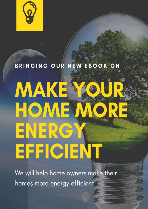# BRINGING OUR NEW EBOOK ON MAKE HOMEW ENERG' EFFICIENT

We will help home owners make their homes more energy efficient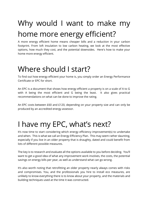# Why would I want to make my home more energy efficient?

A more energy efficient home means cheaper bills and a reduction in your carbon footprint. From loft insulation to low carbon heating, we look at the most effective options, how much they cost, and the potential downsides. Here's how to make your home more energy efficient.

# Where should I start?

To find out how energy efficient your home is, you simply order an Energy Performance Certificate or EPC for short.

An EPC is a document that shows how energy efficient a property is on a scale of A to G with A being the most efficient and G being the least. It also gives practical recommendations on what can be done to improve the rating.

An EPC costs between £60 and £120, depending on your property size and can only be produced by an accredited energy assessor.

## I have my EPC, what's next?

It's now time to start considering which energy efficiency improvement(s) to undertake and when. This is what we call an Energy Efficiency Plan. This may seem rather daunting, especially if you live in an older property that is draughty, dated and could benefit from lots of different possible measures.

The key is to research and evaluate all the options available to you before deciding. You'll want to get a good idea of what any improvement work involves, the costs, the potential savings on energy bills per year, as well as understand what can go wrong.

It's also worth noting that retrofitting an older property nearly always comes with risks and compromises. You, and the professionals you hire to install eco measures, are unlikely to know everything there is to know about your property, and the materials and building techniques used at the time it was constructed.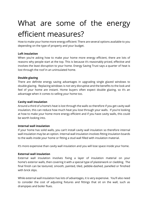# What are some of the energy efficient measures?

How to make your home more energy efficient: There are several options available to you depending on the type of property and your budget.

#### **Loft insulation**

When you're asking how to make your home more energy efficient, there are lots of reasons why people start at the top. This is because it's reasonably priced, effective and involves the least disruption to your home. Energy Saving Trust says a quarter of heat is lost through the roof in an uninsulated home.

#### **Double glazing**

There are definite energy saving advantages in upgrading single glazed windows to double glazing. Replacing windows is not very disruptive and the benefits to the look and feel of your home are instant. Home buyers often expect double glazing, so it's an advantage when it comes to selling your home too.

#### **Cavity wall insulation**

Around a third of a home's heat is lost through the walls so therefore if you get cavity wall insulation, this can reduce how much heat you lose through your walls. If you're looking at how to make your home more energy efficient and if you have cavity walls, this could be worth looking into.

#### **Internal wall insulation**

If your home has solid walls, you can't install cavity wall insulation so therefore internal wall insulation may be an option. Internal wall insulation involves fitting insulation boards to the walls inside your home or fitting a stud wall filled with insulation material.

It's more expensive than cavity wall insulation and you will lose space inside your home.

#### **External wall insulation**

External wall insulation involves fixing a layer of insulation material on your home's exterior walls, then covering it with a special type of plasterwork or cladding. The final finish can be textured, smooth, painted, tiled, pebble-dashed, panelled or finished with brick slips.

While external wall insulation has lots of advantages, it is very expensive. You'll also need to consider the cost of adjusting fixtures and fittings that sit on the wall, such as drainpipes and boiler flues.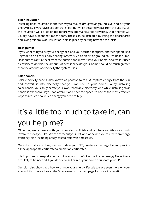#### **Floor insulation**

Installing floor insulation is another way to reduce draughts at ground level and cut your energy bills. If you have solid concrete flooring, which became typical from the late 1930s, the insulation will be laid on top before you apply a new floor covering. Older homes will usually have suspended timber floors. These can be insulated by lifting the floorboards and laying mineral wool insulation, held in place by netting between the joists.

#### **Heat pumps**

If you want to try to cut your energy bills and your carbon footprint, another option is to upgrade to an eco-friendly heating system such as an air or ground source heat pump. Heat pumps capture heat from the outside and move it into your home. And while it uses electricity to do this, the amount of heat it provides your home should be much greater than the amount of electricity the system uses.

#### **Solar panels**

Solar electricity panels, also known as photovoltaics (PV), capture energy from the sun and convert it into electricity that you can use in your home. So by installing solar panels, you can generate your own renewable electricity. And while installing solar panels is expensive, if you can afford it and have the space it's one of the most effective ways to reduce how much energy you need to buy.

# It's a little too much to take in, can you help me?

Of course, we can work with you from start to finish and can have as little or as much involvement as you like. We can carry out your EPC and work with you to create an energy efficiency plan including a fully costed refit with timescales.

Once the works are done, we can update your EPC, create your energy file and provide all the appropriate certificates/completion certificates.

It is important to keep all your certificates and proof of works in your energy file as these are likely to be needed if you decide to sell or rent your home or update your EPC.

Our plan also shows you how to change your energy lifestyle to save even more on your energy bills. Have a look at the 3 packages on the next page for more information.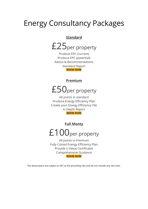### Energy Consultancy Packages

#### **Standard**

# £25per property

Produce EPC (current) Produce EPC (potential) Advice & Recommendations Standard Report **[BOOK](https://assessmenthive.co.uk/get-in-touch/) NOW**

#### **Premium**

### £50per property

All points in standard Produce Energy Efficiency Plan Create your Energy Efficiency File In Depth Report **[BOOK](https://assessmenthive.co.uk/get-in-touch/) NOW**

**Full Monty**

## £100<sub>per property</sub>

All points in Premium Fully Costed Energy Efficiency Plan Provide U Value Certificates Comprehensive Guidance **[BOOK](https://assessmenthive.co.uk/get-in-touch/) NOW**

The above plans are subject to VAT at the prevailing rate and do not include any site visits.